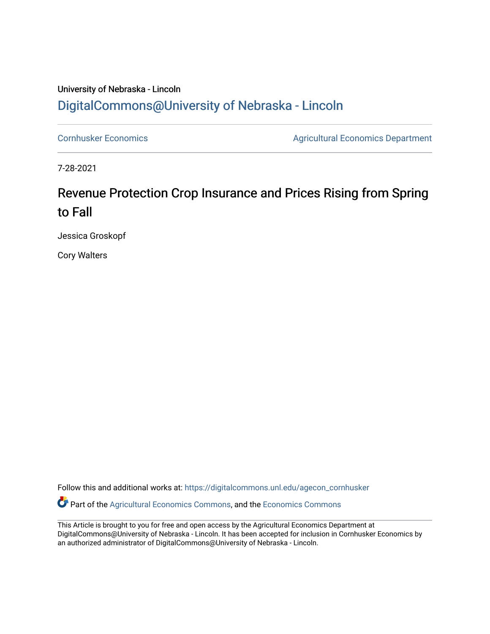## University of Nebraska - Lincoln [DigitalCommons@University of Nebraska - Lincoln](https://digitalcommons.unl.edu/)

[Cornhusker Economics](https://digitalcommons.unl.edu/agecon_cornhusker) **Agricultural Economics** Department

7-28-2021

## Revenue Protection Crop Insurance and Prices Rising from Spring to Fall

Jessica Groskopf

Cory Walters

Follow this and additional works at: [https://digitalcommons.unl.edu/agecon\\_cornhusker](https://digitalcommons.unl.edu/agecon_cornhusker?utm_source=digitalcommons.unl.edu%2Fagecon_cornhusker%2F1114&utm_medium=PDF&utm_campaign=PDFCoverPages) 

Part of the [Agricultural Economics Commons,](http://network.bepress.com/hgg/discipline/1225?utm_source=digitalcommons.unl.edu%2Fagecon_cornhusker%2F1114&utm_medium=PDF&utm_campaign=PDFCoverPages) and the [Economics Commons](http://network.bepress.com/hgg/discipline/340?utm_source=digitalcommons.unl.edu%2Fagecon_cornhusker%2F1114&utm_medium=PDF&utm_campaign=PDFCoverPages) 

This Article is brought to you for free and open access by the Agricultural Economics Department at DigitalCommons@University of Nebraska - Lincoln. It has been accepted for inclusion in Cornhusker Economics by an authorized administrator of DigitalCommons@University of Nebraska - Lincoln.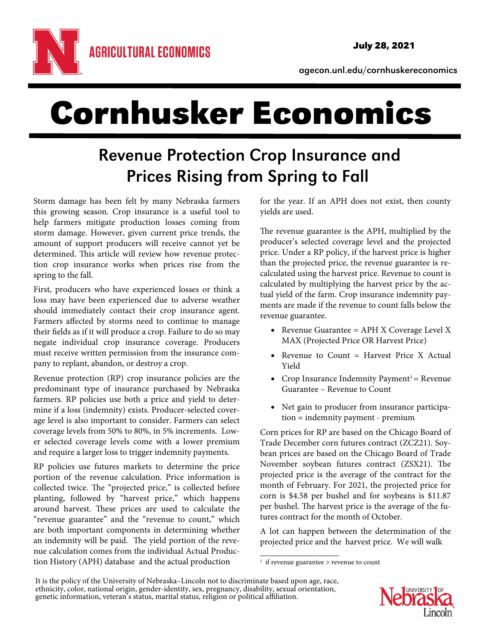

agecon.unl.edu/cornhuskereconomics

## Cornhusker Economics

## Revenue Protection Crop Insurance and Prices Rising from Spring to Fall

Storm damage has been felt by many Nebraska farmers this growing season. Crop insurance is a useful tool to help farmers mitigate production losses coming from storm damage. However, given current price trends, the amount of support producers will receive cannot yet be determined. This article will review how revenue protection crop insurance works when prices rise from the spring to the fall.

First, producers who have experienced losses or think a loss may have been experienced due to adverse weather should immediately contact their crop insurance agent. Farmers affected by storms need to continue to manage their fields as if it will produce a crop. Failure to do so may negate individual crop insurance coverage. Producers must receive written permission from the insurance company to replant, abandon, or destroy a crop.

Revenue protection (RP) crop insurance policies are the predominant type of insurance purchased by Nebraska farmers. RP policies use both a price and yield to determine if a loss (indemnity) exists. Producer-selected coverage level is also important to consider. Farmers can select coverage levels from 50% to 80%, in 5% increments. Lower selected coverage levels come with a lower premium and require a larger loss to trigger indemnity payments.

RP policies use futures markets to determine the price portion of the revenue calculation. Price information is collected twice. The "projected price," is collected before planting, followed by "harvest price," which happens around harvest. These prices are used to calculate the "revenue guarantee" and the "revenue to count," which are both important components in determining whether an indemnity will be paid. The yield portion of the revenue calculation comes from the individual Actual Production History (APH) database and the actual production

for the year. If an APH does not exist, then county yields are used.

The revenue guarantee is the APH, multiplied by the producer's selected coverage level and the projected price. Under a RP policy, if the harvest price is higher than the projected price, the revenue guarantee is recalculated using the harvest price. Revenue to count is calculated by multiplying the harvest price by the actual yield of the farm. Crop insurance indemnity payments are made if the revenue to count falls below the revenue guarantee.

- Revenue Guarantee = APH X Coverage Level X MAX (Projected Price OR Harvest Price)
- Revenue to Count  $=$  Harvest Price X Actual Yield
- Crop Insurance Indemnity Payment<sup>1</sup> = Revenue Guarantee – Revenue to Count
- Net gain to producer from insurance participation = indemnity payment - premium

Corn prices for RP are based on the Chicago Board of Trade December corn futures contract (ZCZ21). Soybean prices are based on the Chicago Board of Trade November soybean futures contract (ZSX21). The projected price is the average of the contract for the month of February. For 2021, the projected price for corn is \$4.58 per bushel and for soybeans is \$11.87 per bushel. The harvest price is the average of the futures contract for the month of October.

A lot can happen between the determination of the projected price and the harvest price. We will walk

\_\_\_\_\_\_\_\_\_\_\_\_\_\_\_\_\_\_



 $1$  if revenue guarantee  $>$  revenue to count